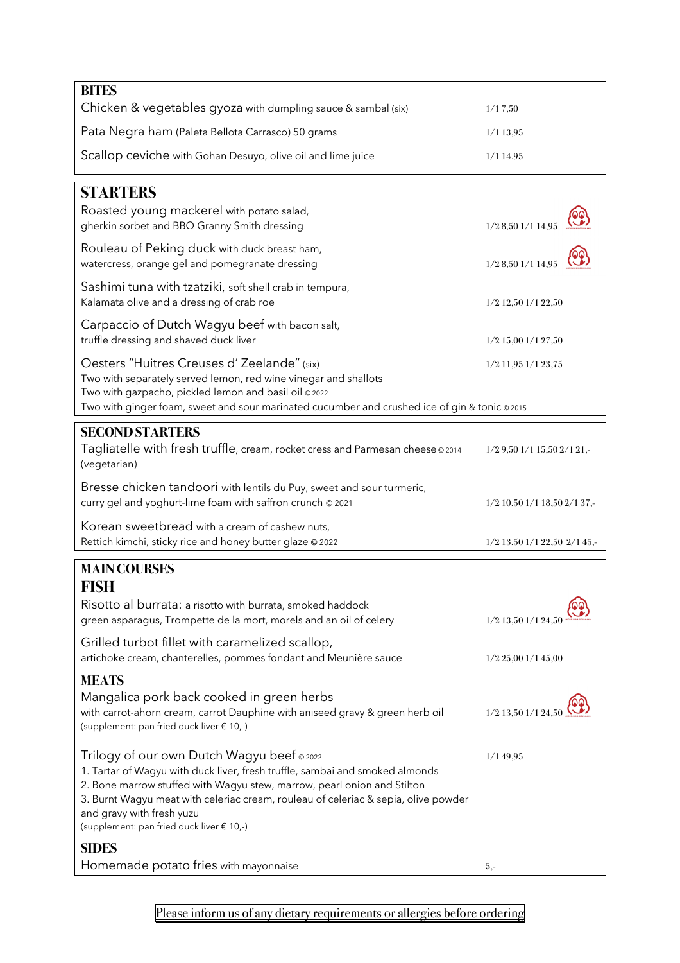| <b>BITES</b>                                                                                                                                                                                                                                                                                                                                                          |                                   |
|-----------------------------------------------------------------------------------------------------------------------------------------------------------------------------------------------------------------------------------------------------------------------------------------------------------------------------------------------------------------------|-----------------------------------|
| Chicken & vegetables gyoza with dumpling sauce & sambal (six)                                                                                                                                                                                                                                                                                                         | 1/17,50                           |
| Pata Negra ham (Paleta Bellota Carrasco) 50 grams                                                                                                                                                                                                                                                                                                                     | $1/1$ 13,95                       |
| Scallop ceviche with Gohan Desuyo, olive oil and lime juice                                                                                                                                                                                                                                                                                                           | 1/114,95                          |
| <b>STARTERS</b>                                                                                                                                                                                                                                                                                                                                                       |                                   |
| Roasted young mackerel with potato salad,<br>gherkin sorbet and BBQ Granny Smith dressing                                                                                                                                                                                                                                                                             | 1/28,501/114,95                   |
| Rouleau of Peking duck with duck breast ham,<br>watercress, orange gel and pomegranate dressing                                                                                                                                                                                                                                                                       | 1/28,501/114,95                   |
| Sashimi tuna with tzatziki, soft shell crab in tempura,<br>Kalamata olive and a dressing of crab roe                                                                                                                                                                                                                                                                  | 1/2 12,50 1/1 22,50               |
| Carpaccio of Dutch Wagyu beef with bacon salt,<br>truffle dressing and shaved duck liver                                                                                                                                                                                                                                                                              | 1/2 15,00 1/1 27,50               |
| Oesters "Huitres Creuses d' Zeelande" (six)<br>Two with separately served lemon, red wine vinegar and shallots<br>Two with gazpacho, pickled lemon and basil oil @ 2022<br>Two with ginger foam, sweet and sour marinated cucumber and crushed ice of gin & tonic @2015                                                                                               | 1/2 11,95 1/1 23,75               |
|                                                                                                                                                                                                                                                                                                                                                                       |                                   |
| <b>SECOND STARTERS</b><br>Tagliatelle with fresh truffle, cream, rocket cress and Parmesan cheese 02014<br>(vegetarian)                                                                                                                                                                                                                                               | $1/2$ 9,50 $1/1$ 15,50 $2/1$ 21,- |
| Bresse chicken tandoori with lentils du Puy, sweet and sour turmeric,<br>curry gel and yoghurt-lime foam with saffron crunch @ 2021                                                                                                                                                                                                                                   | 1/2 10,50 1/1 18,50 2/1 37,-      |
| Korean sweetbread with a cream of cashew nuts,<br>Rettich kimchi, sticky rice and honey butter glaze @ 2022                                                                                                                                                                                                                                                           | 1/2 13,50 1/1 22,50 2/1 45,-      |
| <b>MAIN COURSES</b>                                                                                                                                                                                                                                                                                                                                                   |                                   |
| FISH                                                                                                                                                                                                                                                                                                                                                                  |                                   |
| Risotto al burrata: a risotto with burrata, smoked haddock<br>green asparagus, Trompette de la mort, morels and an oil of celery                                                                                                                                                                                                                                      | 1/2 13,50 1/1 24,5                |
| Grilled turbot fillet with caramelized scallop,<br>artichoke cream, chanterelles, pommes fondant and Meunière sauce                                                                                                                                                                                                                                                   | $1/2$ 25,00 $1/1$ 45,00           |
| <b>MEATS</b>                                                                                                                                                                                                                                                                                                                                                          |                                   |
| Mangalica pork back cooked in green herbs<br>with carrot-ahorn cream, carrot Dauphine with aniseed gravy & green herb oil<br>(supplement: pan fried duck liver € 10,-)                                                                                                                                                                                                | 1/2 13,50 1/1 24,50               |
| Trilogy of our own Dutch Wagyu beef © 2022<br>1. Tartar of Wagyu with duck liver, fresh truffle, sambai and smoked almonds<br>2. Bone marrow stuffed with Wagyu stew, marrow, pearl onion and Stilton<br>3. Burnt Wagyu meat with celeriac cream, rouleau of celeriac & sepia, olive powder<br>and gravy with fresh yuzu<br>(supplement: pan fried duck liver € 10,-) | 1/149,95                          |
| <b>SIDES</b><br>Homemade potato fries with mayonnaise                                                                                                                                                                                                                                                                                                                 |                                   |
|                                                                                                                                                                                                                                                                                                                                                                       | $5, -$                            |

Please inform us of any dietary requirements or allergies before ordering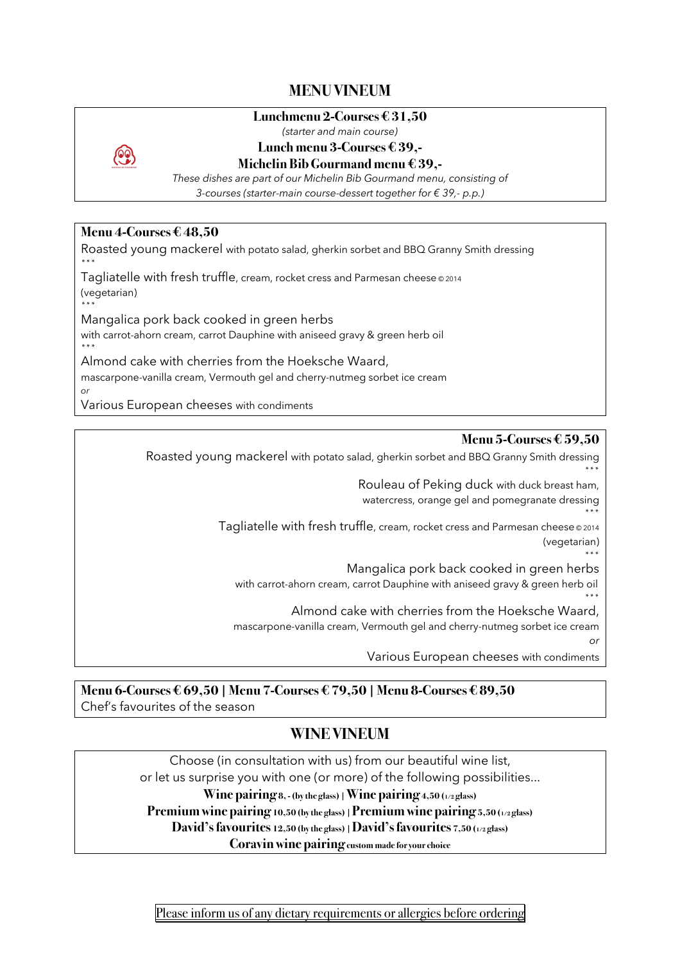# **MENU VINEUM**

#### **Lunchmenu 2-Courses € 31,50**

*(starter and main course)*



# **Lunch menu 3-Courses € 39,-**

#### **Michelin Bib Gourmand menu € 39,-**

*These dishes are part of our Michelin Bib Gourmand menu, consisting of 3-courses (starter-main course-dessert together for € 39,- p.p.)*

### **Menu 4-Courses € 48,50**

Roasted young mackerel with potato salad, gherkin sorbet and BBQ Granny Smith dressing \*\*\*

Tagliatelle with fresh truffle, cream, rocket cress and Parmesan cheese @ 2014 (vegetarian)

\*\*\* Mangalica pork back cooked in green herbs

with carrot-ahorn cream, carrot Dauphine with aniseed gravy & green herb oil \*\*\*

Almond cake with cherries from the Hoeksche Waard, mascarpone-vanilla cream, Vermouth gel and cherry-nutmeg sorbet ice cream *or*

Various European cheeses with condiments

#### **Menu 5-Courses € 59,50**

\*\*\*

Roasted young mackerel with potato salad, gherkin sorbet and BBQ Granny Smith dressing \*\*\*

> Rouleau of Peking duck with duck breast ham, watercress, orange gel and pomegranate dressing

Tagliatelle with fresh truffle, cream, rocket cress and Parmesan cheese © 2014 (vegetarian)

> \*\*\* Mangalica pork back cooked in green herbs

with carrot-ahorn cream, carrot Dauphine with aniseed gravy & green herb oil

\*\*\* Almond cake with cherries from the Hoeksche Waard,

mascarpone-vanilla cream, Vermouth gel and cherry-nutmeg sorbet ice cream *or*

Various European cheeses with condiments

**Menu 6-Courses € 69,50 | Menu 7-Courses€ 79,50 | Menu 8-Courses€ 89,50** Chef's favourites of the season

# **WINE VINEUM**

Choose (in consultation with us) from our beautiful wine list, or let us surprise you with one (or more) of the following possibilities... **Wine pairing 8, -(by the glass) | Wine pairing 4,50 (1/2 glass) Premium wine pairing 10,50 (by the glass) | Premium wine pairing 5,50 (1/2 glass) David's favourites 12,50 (by the glass) | David's favourites 7,50 (1/2 glass) Coravin wine pairing custom made for your choice**

Please inform us of any dietary requirements or allergies before ordering